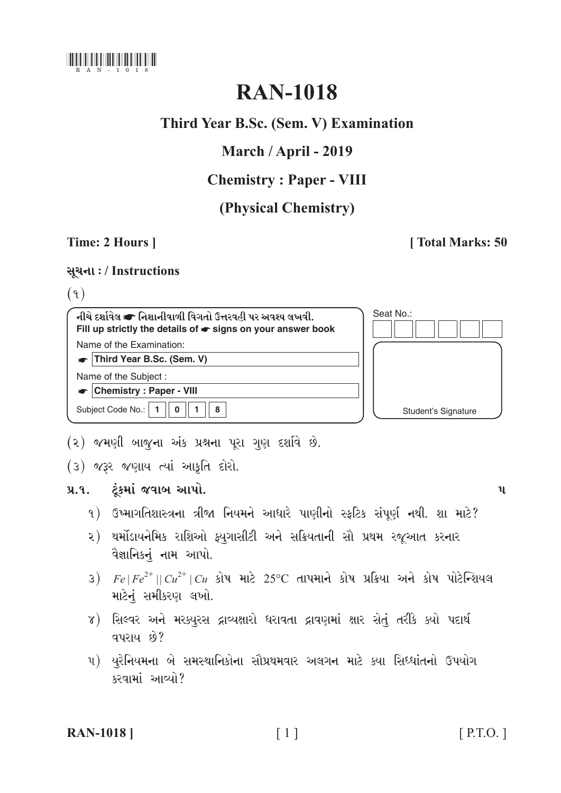

# **RAN-1018**

# Third Year B.Sc. (Sem. V) Examination

# March / April - 2019

# **Chemistry: Paper - VIII**

# (Physical Chemistry)

# Time: 2 Hours |

### **Total Marks: 50**

### સૂચના: / Instructions

### $(9)$

| નીચે દર્શાવેલ σ નિશાનીવાળી વિગતો ઉત્તરવહી પર અવશ્ય લખવી.<br>Fill up strictly the details of $\bullet$ signs on your answer book | Seat No.:           |
|---------------------------------------------------------------------------------------------------------------------------------|---------------------|
| Name of the Examination:                                                                                                        |                     |
| Third Year B.Sc. (Sem. V)                                                                                                       |                     |
| Name of the Subject:                                                                                                            |                     |
| <b>Chemistry: Paper - VIII</b>                                                                                                  |                     |
| Subject Code No.:<br>8                                                                                                          | Student's Signature |
|                                                                                                                                 |                     |

- (૨) જમણી બાજુના અંક પ્રશ્નના પૂરા ગુણ દર્શાવે છે.
- (3) क्यूर कणुाय त्यां आड़ूति दोरो.

#### ટૂંકમાં જવાબ આપો.  $9.9.$

- ૧) ઉષ્માગતિશાસ્ત્રના ત્રીજા નિયમને આધારે પાણીનો સ્ફટિક સંપૂર્ણ નથી. શા માટે?
- ૨) થર્મોડાયનેમિક રાશિઓ ફ્યુગાસીટી અને સક્રિયતાની સૌ પ્રથમ રજૂઆત કરનાર વૈજ્ઞાનિકનું નામ આપો.
- 3)  $Fe|Fe^{2+}||Cu^{2+}|Cu$  કોષ માટે 25°C તાપમાને કોષ પ્રક્રિયા અને કોષ પોટેન્શિયલ માટેનું સમીકરણ લખો.
- ૪) સિલ્વર અને મરક્યુરસ દ્રાવ્યક્ષારો ધરાવતા દ્રાવણમાં ક્ષાર સેતું તરીકે ક્યો પદાર્થ **qualu 80?**
- ૫) યુરેનિયમના બે સમસ્થાનિકોના સૌપ્રથમવાર અલગન માટે ક્યા સિધ્ધાંતનો ઉપયોગ કરવામાં આવ્યો?

#### **RAN-1018** |

 $\mathbf{u}$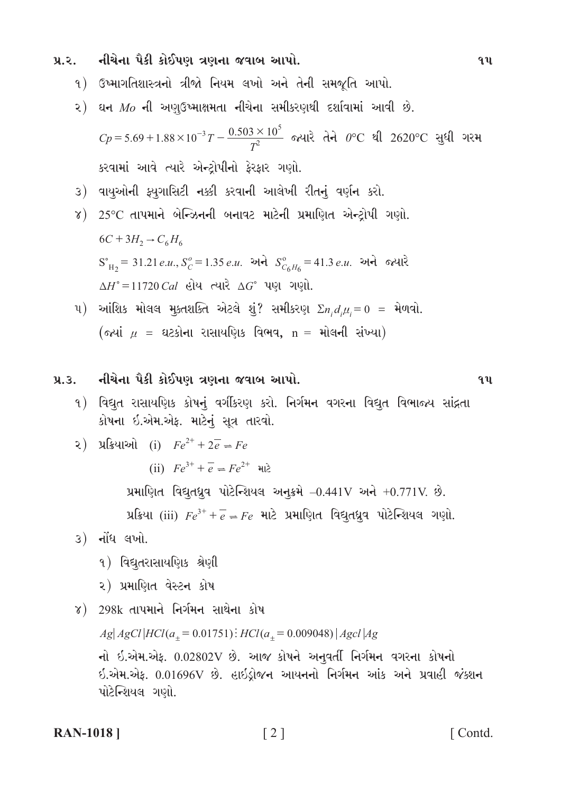નીચેના પૈકી કોઈપણ ત્રણના જવાબ આપો.  $y_{\alpha}$ 

- ૧) ઉષ્માગતિશાસ્ત્રનો ત્રીજો નિયમ લખો અને તેની સમજૂતિ આપો.
- ૨) ઘન  $Mo$  ની અણઉષ્માક્ષમતા નીચેના સમીકરણથી દર્શાવામાં આવી છે.

$$
Cp = 5.69 + 1.88 \times 10^{-3} T - \frac{0.503 \times 10^5}{T^2}
$$
 જ્યારે તેને 0°C થી 2620°C સુધી ગરમ  
કરવામાં આવે ત્યારે એન્દ્રોપીનો ફેરફાર ગણો.

- ૩) વાયુઓની ફ્યુગાસિટી નક્કી કરવાની આલેખી રીતનું વર્ણન કરો.
- $\gamma$ ) 25°C તાપમાને બેન્ઝિનની બનાવટ માટેની પ્રમાણિત એન્ટ્રોપી ગણો.  $6C + 3H_2 \rightarrow C_6H_6$  $S_{H_2}^{\circ} = 31.21$  e.u.,  $S_C^{\circ} = 1.35$  e.u. અને  $S_{C_6H_6}^{\circ} = 41.3$  e.u. અને જ્યારે  $\Delta H^{\circ} = 11720 \, \text{Cal}$  હોય ત્યારે  $\Delta G^{\circ}$  પણ ગણો.
- u) આંશિક મોલલ મુક્તશક્તિ એટલે શું? સમીકરણ  $\sum n_i d_i \mu_i = 0$  = મેળવો. (જ્યાં  $\mu$  = ઘટકોના રાસાયણિક વિભવ, n = મોલની સંખ્યા)
- નીચેના પૈકી કોઈપણ ત્રણના જવાબ આપો.  $9.3.$ 
	- ૧) વિદ્યુત રાસાયણિક કોષનું વર્ગીકરણ કરો. નિર્ગમન વગરના વિદ્યુત વિભાજ્ય સાંદ્રતા કોષના ઇ.એમ.એફ. માટેનું સૂત્ર તારવો.

2) 
$$
\mathcal{L}[\mathcal{L}(\mathcal{L}(\mathcal{L}))]
$$
  $(i)$   $Fe^{2+} + 2e^{-} \neq Fe$ 

(ii)  $Fe^{3+} + \overline{e} = Fe^{2+}$  412

પ્રમાણિત વિદ્યુતધ્રુવ પોટેન્શિયલ અનુક્રમે  $-0.441V$  અને  $+0.771V$ . છે.

પ્રક્રિયા (iii)  $Fe^{3+} + \overline{e} = Fe$  માટે પ્રમાણિત વિદ્યુતધ્રુવ પોટેન્શિયલ ગણો.

- 3) नोंध લખો.
	- १) વિદ્યુતરાસાયણિક શ્રેણી
	- ૨) પ્રમાણિત વેસ્ટન કોષ
- ૪)  $298k$  તાપમાને નિર્ગમન સાથેના કોષ

 $Ag|AgCl|HCl(a_{+}=0.01751)$ :  $HCl(a_{+}=0.009048)|Agcl|Ag$ નો ઇ.એમ.એફ.  $0.02802V$  છે. આજ કોષને અનુવર્તી નિર્ગમન વગરના કોષનો ઇ.એમ.એફ. 0.01696V છે. હાઇડ્રોજન આયનનો નિર્ગમન આંક અને પ્રવાહી જંક્શન પોટેન્શિયલ ગણો.

**RAN-1018** 

[Contd.]

 $9<sub>u</sub>$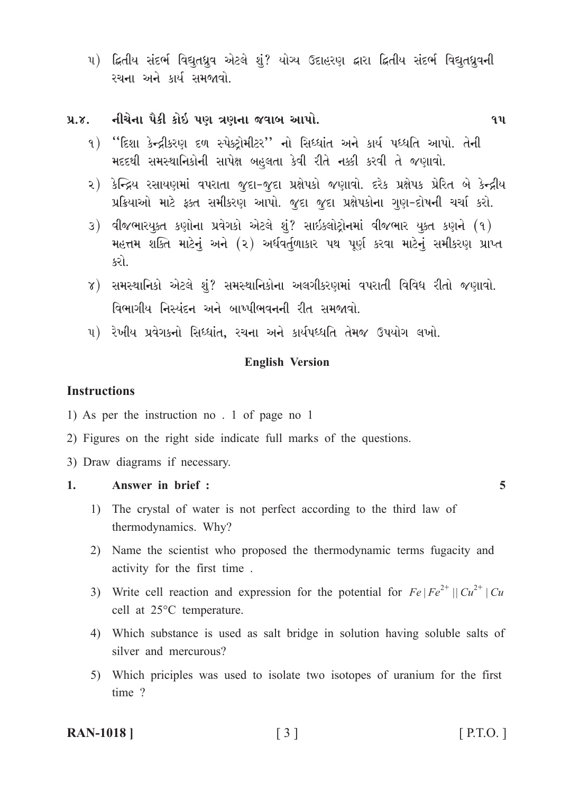૫) દ્વિતીય સંદર્ભ વિદ્યુતધ્રુવ એટલે શું? યોગ્ય ઉદાહરણ દ્વારા દ્વિતીય સંદર્ભ વિદ્યુતધ્રુવની રચના અને કાર્ય સમજાવો.

#### નીચેના પૈકી કોઇ પણ ત્રણના જવાબ આપો.  $9.8.$

- ૧) "દિશા કેન્દ્રીકરણ દળ સ્પેક્ટોમીટર'' નો સિધ્ધાંત અને કાર્ય પધ્ધતિ આપો. તેની મદદથી સમસ્થાનિકોની સાપેક્ષ બહલતા કેવી રીતે નક્કી કરવી તે જણાવો.
- ૨) કેન્દ્રિય રસાયણમાં વપરાતા જુદા-જુદા પ્રક્ષેપકો જણાવો. દરેક પ્રક્ષેપક પ્રેરિત બે કેન્દ્રીય પ્રક્રિયાઓ માટે ફક્ત સમીકરણ આપો. જુદા જુદા પ્રક્ષેપકોના ગુણ-દોષની ચર્ચા કરો.
- 3) વીજભારયૂક્ત કણોના પ્રવેગકો એટલે શું? સાઇક્લોટ્રોનમાં વીજભાર યુક્ત કણને (૧) મહત્તમ શક્તિ માટેનું અને (૨) અર્ધવર્તુળાકાર પથ પૂર્ણ કરવા માટેનું સમીકરણ પ્રાપ્ત કરો.
- ૪) સમસ્થાનિકો એટલે શં? સમસ્થાનિકોના અલગીકરણમાં વપરાતી વિવિધ રીતો જણાવો. વિભાગીય નિસ્પંદન અને બાષ્પીભવનની રીત સમજાવો.
- ૫) રેખીય પ્રવેગકનો સિધ્ધાંત, રચના અને કાર્યપધ્ધતિ તેમજ ઉપયોગ લખો.

#### **English Version**

#### **Instructions**

- 1) As per the instruction no . 1 of page no 1
- 2) Figures on the right side indicate full marks of the questions.
- 3) Draw diagrams if necessary.

#### $1<sub>1</sub>$ Answer in brief :

- 1) The crystal of water is not perfect according to the third law of thermodynamics. Why?
- 2) Name the scientist who proposed the thermodynamic terms fugacity and activity for the first time.
- 3) Write cell reaction and expression for the potential for  $Fe | Fe^{2+} | | Cu^{2+} | Cu$ cell at 25°C temperature.
- 4) Which substance is used as salt bridge in solution having soluble salts of silver and mercurous?
- 5) Which priciples was used to isolate two isotopes of uranium for the first time?

#### **RAN-1018** |

## $\lceil 3 \rceil$

 $[$  P.T.O.  $]$ 

 $\overline{5}$ 

 $9<sub>u</sub>$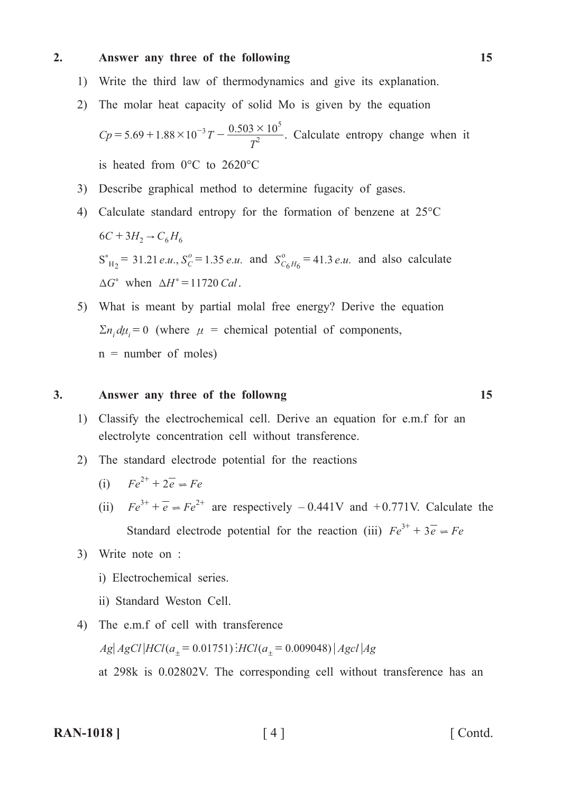#### **2. Answer any three of the following 15**

- 1) Write the third law of thermodynamics and give its explanation.
- 2) The molar heat capacity of solid Mo is given by the equation

 $Cp = 5.69 + 1.88 \times 10^{-3} T - \frac{0.126}{T}$ *T*  $5.69 + 1.88 \times 10^{-3} T - \frac{0.503 \times 10}{T^2}$ 5  $= 5.69 + 1.88 \times 10^{-3} T - \frac{0.503 \times 10^{5}}{2}$ . Calculate entropy change when it is heated from 0°C to 2620°C

- 3) Describe graphical method to determine fugacity of gases.
- 4) Calculate standard entropy for the formation of benzene at 25°C  $6C + 3H_2 \rightarrow C_6 H_6$  $S_{H_2}^{\circ} = 31.21 \, e.u., S_C^{\circ} = 1.35 \, e.u.$  and  $S_{C_6H_6}^{\circ} = 41.3 \, e.u.$  and also calculate  $\Delta G^{\circ}$  when  $\Delta H^{\circ} = 11720$  *Cal*.
	- 5) What is meant by partial molal free energy? Derive the equation  $\sum n_i d\mu_i = 0$  (where  $\mu$  = chemical potential of components,  $n =$  number of moles)

#### **3. Answer any three of the followng 15**

- 1) Classify the electrochemical cell. Derive an equation for e.m.f for an electrolyte concentration cell without transference.
- 2) The standard electrode potential for the reactions
- (i)  $Fe^{2+} + 2e^- \rightleftharpoons Fe$
- (ii)  $Fe^{3+} + \overline{e} = Fe^{2+}$  are respectively  $-0.441V$  and  $+0.771V$ . Calculate the Standard electrode potential for the reaction (iii)  $Fe^{3+} + 3e^- = Fe$ 
	- 3) Write note on :
		- i) Electrochemical series.
		- ii) Standard Weston Cell.
	- 4) The e.m.f of cell with transference  $Ag|AgCl|HCl(a<sub>±</sub> = 0.01751)$ *HCl*  $(a<sub>±</sub> = 0.009048)$   $Agcl|Ag$ at 298k is 0.02802V. The corresponding cell without transference has an

**RAN-1018 ]** [4 ] [ Contd.